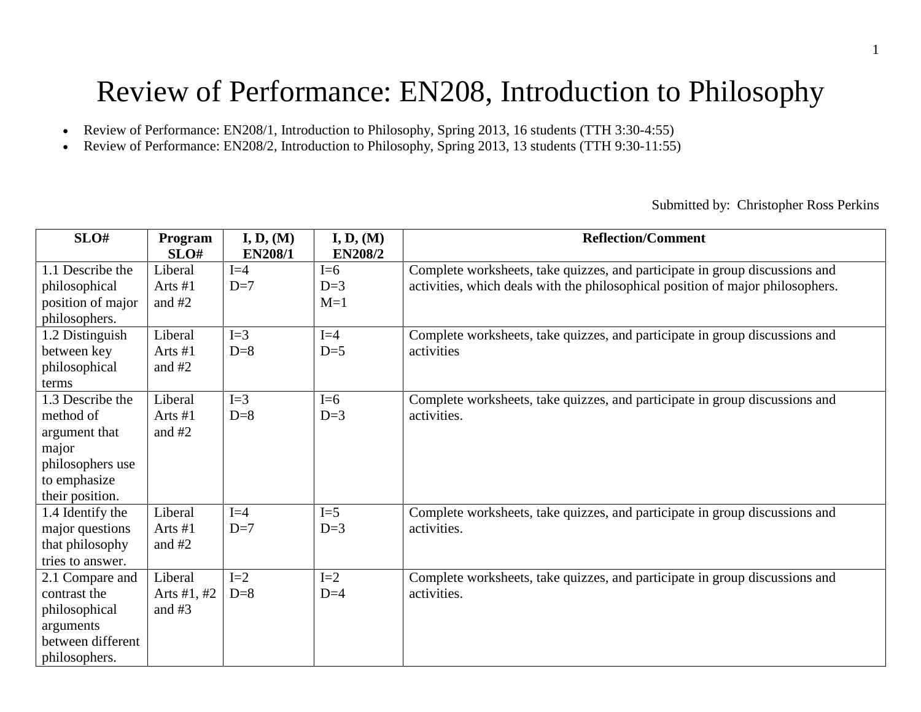# Review of Performance: EN208, Introduction to Philosophy

- Review of Performance: EN208/1, Introduction to Philosophy, Spring 2013, 16 students (TTH 3:30-4:55)
- Review of Performance: EN208/2, Introduction to Philosophy, Spring 2013, 13 students (TTH 9:30-11:55)

Submitted by: Christopher Ross Perkins

| SLO#              | Program       | I, D, (M)      | I, D, (M)      | <b>Reflection/Comment</b>                                                      |  |  |  |  |  |  |  |  |  |
|-------------------|---------------|----------------|----------------|--------------------------------------------------------------------------------|--|--|--|--|--|--|--|--|--|
|                   | SLO#          | <b>EN208/1</b> | <b>EN208/2</b> |                                                                                |  |  |  |  |  |  |  |  |  |
| 1.1 Describe the  | Liberal       | $I=4$          | $I=6$          | Complete worksheets, take quizzes, and participate in group discussions and    |  |  |  |  |  |  |  |  |  |
| philosophical     | Arts #1       | $D=7$          | $D=3$          | activities, which deals with the philosophical position of major philosophers. |  |  |  |  |  |  |  |  |  |
| position of major | and #2        |                | $M=1$          |                                                                                |  |  |  |  |  |  |  |  |  |
| philosophers.     |               |                |                |                                                                                |  |  |  |  |  |  |  |  |  |
| 1.2 Distinguish   | Liberal       | $I=3$          | $I=4$          | Complete worksheets, take quizzes, and participate in group discussions and    |  |  |  |  |  |  |  |  |  |
| between key       | Arts $#1$     | $D=8$          | $D=5$          | activities                                                                     |  |  |  |  |  |  |  |  |  |
| philosophical     | and $#2$      |                |                |                                                                                |  |  |  |  |  |  |  |  |  |
| terms             |               |                |                |                                                                                |  |  |  |  |  |  |  |  |  |
| 1.3 Describe the  | Liberal       | $I=3$          | $I=6$          | Complete worksheets, take quizzes, and participate in group discussions and    |  |  |  |  |  |  |  |  |  |
| method of         | Arts #1       | $D=8$          | $D=3$          | activities.                                                                    |  |  |  |  |  |  |  |  |  |
| argument that     | and $#2$      |                |                |                                                                                |  |  |  |  |  |  |  |  |  |
| major             |               |                |                |                                                                                |  |  |  |  |  |  |  |  |  |
| philosophers use  |               |                |                |                                                                                |  |  |  |  |  |  |  |  |  |
| to emphasize      |               |                |                |                                                                                |  |  |  |  |  |  |  |  |  |
| their position.   |               |                |                |                                                                                |  |  |  |  |  |  |  |  |  |
| 1.4 Identify the  | Liberal       | $I=4$          | $I=5$          | Complete worksheets, take quizzes, and participate in group discussions and    |  |  |  |  |  |  |  |  |  |
| major questions   | Arts #1       | $D=7$          | $D=3$          | activities.                                                                    |  |  |  |  |  |  |  |  |  |
| that philosophy   | and $#2$      |                |                |                                                                                |  |  |  |  |  |  |  |  |  |
| tries to answer.  |               |                |                |                                                                                |  |  |  |  |  |  |  |  |  |
| 2.1 Compare and   | Liberal       | $I=2$          | $I=2$          | Complete worksheets, take quizzes, and participate in group discussions and    |  |  |  |  |  |  |  |  |  |
| contrast the      | Arts $#1, #2$ | $D=8$          | $D=4$          | activities.                                                                    |  |  |  |  |  |  |  |  |  |
| philosophical     | and $#3$      |                |                |                                                                                |  |  |  |  |  |  |  |  |  |
| arguments         |               |                |                |                                                                                |  |  |  |  |  |  |  |  |  |
| between different |               |                |                |                                                                                |  |  |  |  |  |  |  |  |  |
| philosophers.     |               |                |                |                                                                                |  |  |  |  |  |  |  |  |  |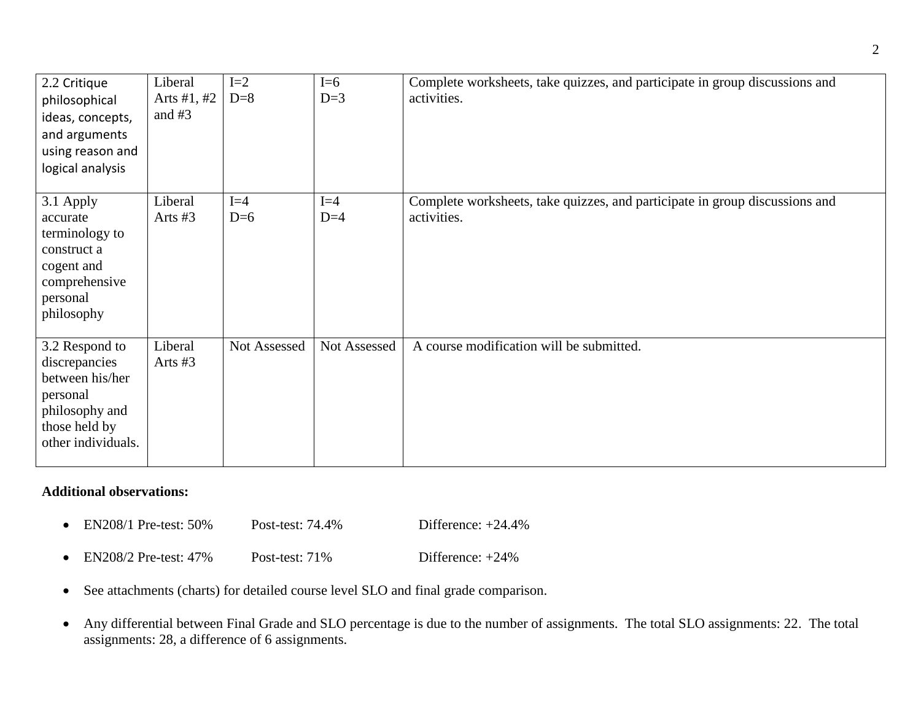| 2.2 Critique<br>philosophical<br>ideas, concepts,<br>and arguments<br>using reason and<br>logical analysis              | Liberal<br>Arts #1, #2<br>and $#3$ | $I=2$<br>$D=8$ | $I=6$<br>$D=3$ | Complete worksheets, take quizzes, and participate in group discussions and<br>activities. |
|-------------------------------------------------------------------------------------------------------------------------|------------------------------------|----------------|----------------|--------------------------------------------------------------------------------------------|
| 3.1 Apply<br>accurate<br>terminology to<br>construct a<br>cogent and<br>comprehensive<br>personal<br>philosophy         | Liberal<br>Arts #3                 | $I=4$<br>$D=6$ | $I=4$<br>$D=4$ | Complete worksheets, take quizzes, and participate in group discussions and<br>activities. |
| 3.2 Respond to<br>discrepancies<br>between his/her<br>personal<br>philosophy and<br>those held by<br>other individuals. | Liberal<br>Arts #3                 | Not Assessed   | Not Assessed   | A course modification will be submitted.                                                   |

## **Additional observations:**

- EN208/1 Pre-test: 50% Post-test: 74.4% Difference: +24.4%
- EN208/2 Pre-test: 47% Post-test: 71% Difference: +24%
- See attachments (charts) for detailed course level SLO and final grade comparison.
- Any differential between Final Grade and SLO percentage is due to the number of assignments. The total SLO assignments: 22. The total assignments: 28, a difference of 6 assignments.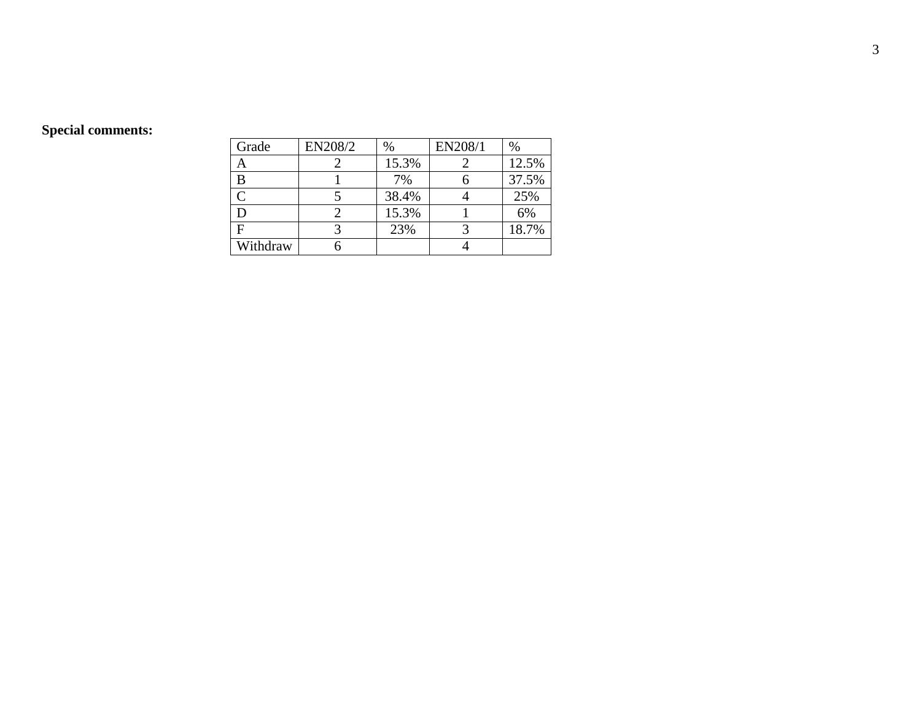# **Special comments:**

| Grade    | EN208/2 | $\%$  | EN208/1 | $\%$  |
|----------|---------|-------|---------|-------|
|          |         | 15.3% |         | 12.5% |
| B        |         | 7%    |         | 37.5% |
|          |         | 38.4% |         | 25%   |
|          |         | 15.3% |         | 6%    |
|          |         | 23%   |         | 18.7% |
| Withdraw |         |       |         |       |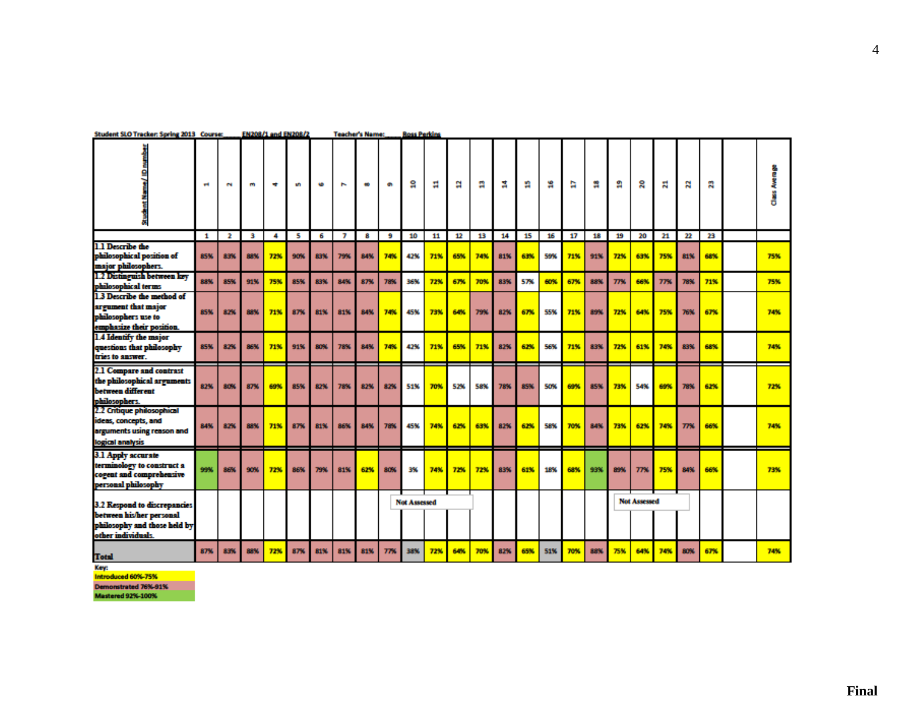|                                                                                                                | ÷            | e.           | B   | ۰   | S   | <b>KG</b> | $\overline{ }$ |     | ÷   | s                   | Ħ   | a   | π   | Ħ,  | a   | å   | a   | 呉   | я    | g                   | 지   | z   | 需   |     |
|----------------------------------------------------------------------------------------------------------------|--------------|--------------|-----|-----|-----|-----------|----------------|-----|-----|---------------------|-----|-----|-----|-----|-----|-----|-----|-----|------|---------------------|-----|-----|-----|-----|
|                                                                                                                | $\mathbf{1}$ | $\mathbf{2}$ | в   | 4   | s   | 6         | 7              | 8   | -9  | 10                  | 11  | 12  | 13  | 14  | 15  | 16  | 17  | 18  | 19   | 20                  | 21  | 22  | 23  |     |
| 1.1 Describe the<br>philosophical position of<br>major philosophers.                                           | <b>85%</b>   | 83%          | 88% | 72% | 90% | 83%       | 79%            | 84% | 74% | 42%                 | 71% | 65% | 74% | 81% | 63% | 59% | 71% | 91% | 72%  | 63%                 | 75% | 81% | 68% | 75% |
| 1.2 Distinguish between key<br>philosophical terms                                                             | 88%          | 85%          | 91% | 75% | 85% | 83%       | 84%            | 87% | 78% | 36%                 | 72% | 67% | 70% | 83% | 57% | 60% | 67% | 88% | 77%  | 66%                 | 77% | 78% | 71% | 75% |
| 1.3 Describe the method of<br>argument that major<br>philosophers use to<br>emphasize their position.          | <b>85%</b>   | 82%          | 88% | 71% | 87% | 81%       | 81%            | 84% | 74% | <b>45%</b>          | 73% | 64% | 79% | 82% | 67% | 55% | 71% | 89% | 7256 | 64%                 | 75% | 76% | 67% | 74% |
| 1.4 Identify the major<br>questions that philosophy<br>tries to answer.                                        | 85%          | 82%          | 86% | 71% | 91% | 80%       | 78%            | 84% | 74% | 42%                 | 71% | 65% | 71% | 82% | 62% | 56% | 71% | 83% | 72%  | 61%                 | 74% | 83% | 68% | 74% |
| 2.1 Compare and contrast<br>the philosophical arguments<br>between different<br>philosophers.                  | 82%          | 80%          | 87% | 69% | 85% | 82%       | 78%            | 82% | 82% | 51%                 | 70% | 52% | 58% | 78% | 85% | 50% | 69% | 85% | 73%  | 54%                 | 69% | 78% | 62% | 72% |
| 2.2 Critique philosophical<br>ideas, concepts, and<br>arguments using reason and<br>logical analysis           | 84%          | 82%          | 88% | 71% | 87% | 81%       | 86%            | 84% | 78% | 45%                 | 74% | 62% | 63% | 82% | 62% | 58% | 70% | 84% | 7356 | 62%                 | 74% | 77% | 66% | 74% |
| 3.1 Apply accurate<br>terminology to construct a<br>cogent and comprehensive<br>personal philosophy            | 99%          | 86%          | 90% | 72% | 86% | 73%       | 81%            | 62% | 80% | 3%                  | 74% | 72% | 72% | 83% | 61% | 18% | 68% | 93% | 89%  | 77%                 | 75% | 84% | 66% | 73% |
| 3.2 Respond to discrepancies<br>between his/her personal<br>philosophy and those held by<br>other individuals. |              |              |     |     |     |           |                |     |     | <b>Not Assessed</b> |     |     |     |     |     |     |     |     |      | <b>Not Assessed</b> |     |     |     |     |
| <b>Total</b>                                                                                                   | 87%          | 83%          | 88% | 72% | 87% | 81%       | 81%            | 81% | 77% | 38%                 | 72% | 64% | 70% | 82% | 65% | 51% | 70% | 88% | 75%  | 64%                 | 74% | 80% | 67% | 74% |

#### Student SLO Tracker: Spring 2013 Course: EN208/1 and EN208/2 Teacher's Name: Ross Perkins

Key:

Introduced 60%-75%

**Demonstrated 76%-91%**<br>Mastered 92%-100%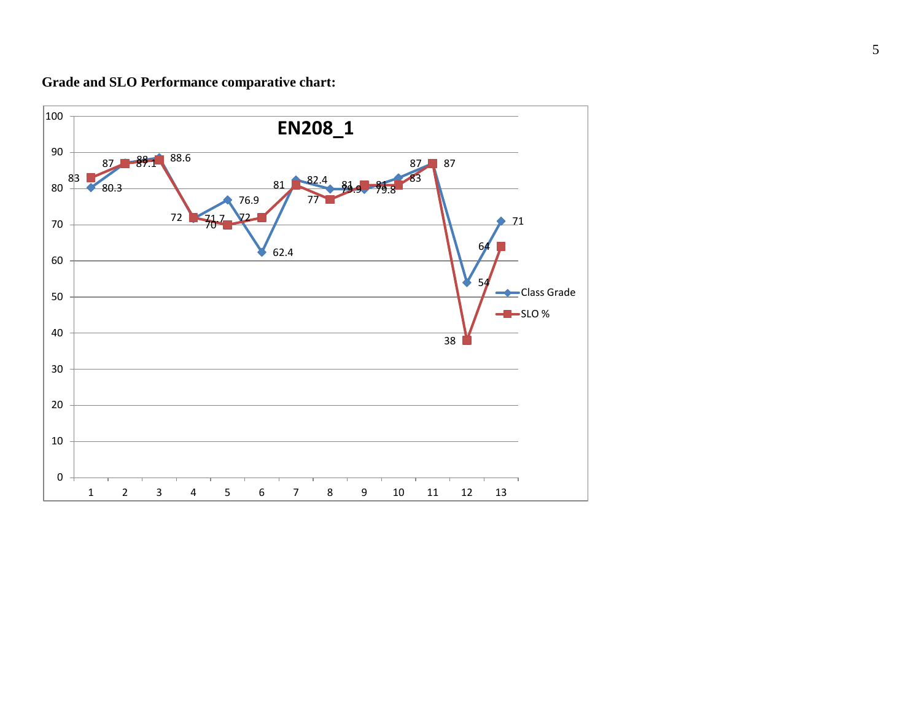**Grade and SLO Performance comparative chart:**

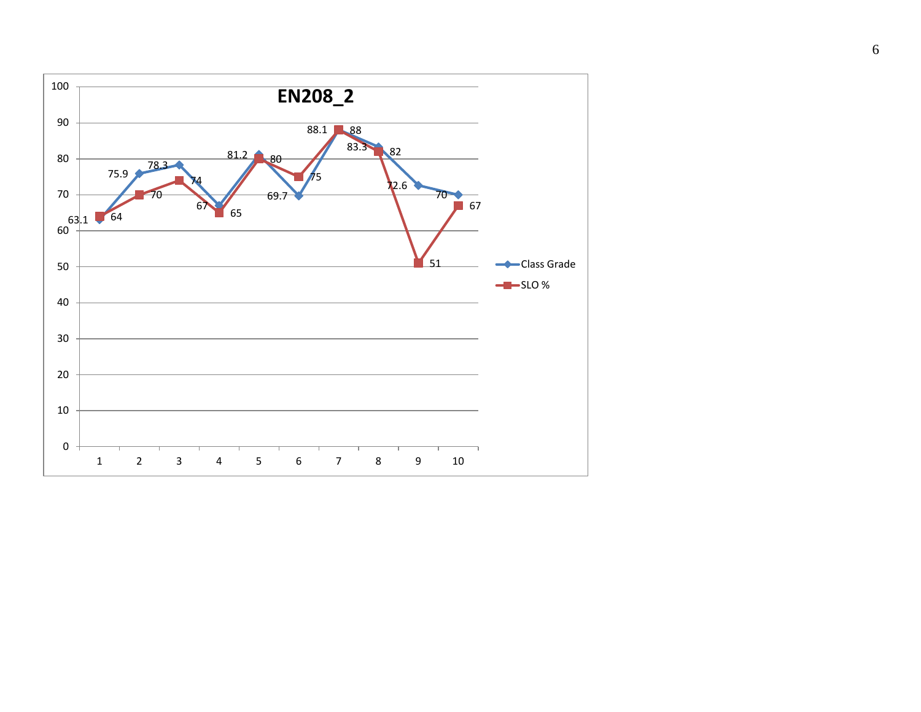